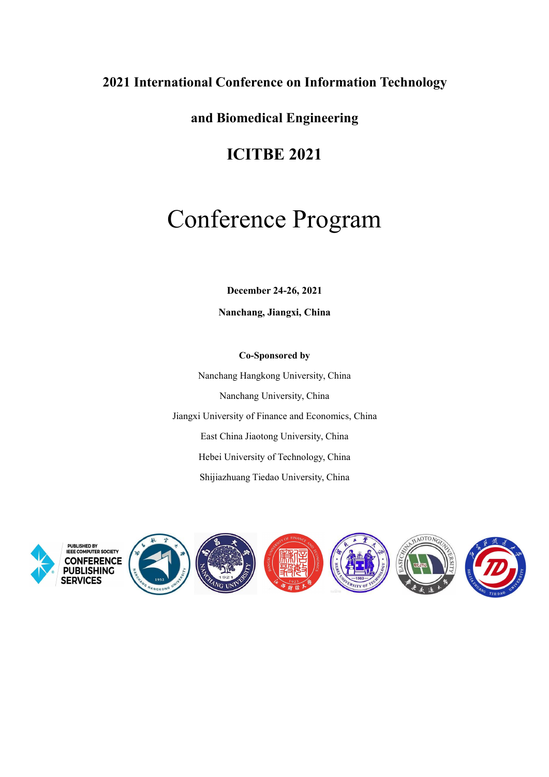## **2021 International Conference on Information Technology**

**and Biomedical Engineering**

# **ICITBE 2021**

# Conference Program

**December 24-26, 2021**

**Nanchang, Jiangxi, China**

**Co-Sponsored by** Nanchang Hangkong University,China Nanchang University, China Jiangxi University of Finance and Economics, China East China Jiaotong University, China Hebei University of Technology, China Shijiazhuang Tiedao University, China

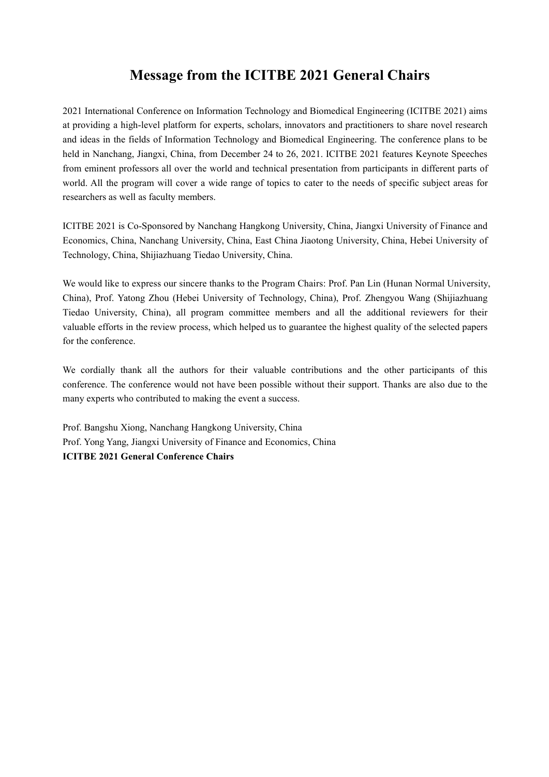# **Message from the ICITBE 2021 General Chairs**

2021 International Conference on Information Technology and Biomedical Engineering (ICITBE 2021) aims at providing a high-level platform for experts, scholars, innovators and practitioners to share novel research and ideas in the fields of Information Technology and Biomedical Engineering. The conference plans to be held in Nanchang, Jiangxi, China, from December 24 to 26, 2021. ICITBE 2021 features Keynote Speeches from eminent professors all over the world and technical presentation from participants in different parts of world. All the program will cover a wide range of topics to cater to the needs of specific subject areas for researchers as well as faculty members.

ICITBE 2021 is Co-Sponsored by Nanchang Hangkong University, China, Jiangxi University of Finance and Economics, China, Nanchang University,China, East China Jiaotong University,China, Hebei University of Technology, China, Shijiazhuang Tiedao University, China.

We would like to express our sincere thanks to the Program Chairs: Prof. Pan Lin (Hunan Normal University, China), Prof. Yatong Zhou (Hebei University of Technology, China), Prof. Zhengyou Wang (Shijiazhuang Tiedao University, China), all program committee members and all the additional reviewers for their valuable efforts in the review process, which helped us to guarantee the highestquality of the selected papers for the conference.

We cordially thank all the authors for their valuable contributions and the other participants of this conference. The conference would not have been possible without their support. Thanks are also due to the many experts who contributed to making the event a success.

Prof. Bangshu Xiong, Nanchang Hangkong University, China Prof. Yong Yang, Jiangxi University of Finance and Economics, China **ICITBE 2021 General Conference Chairs**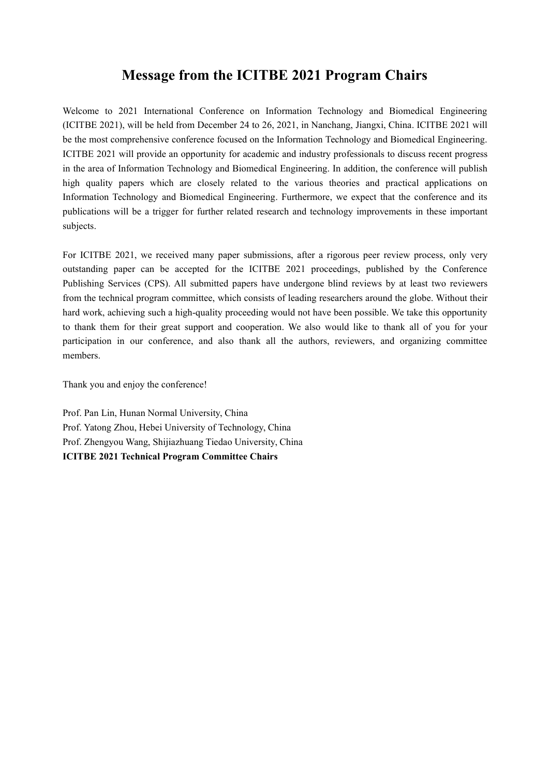# **Message from the ICITBE 2021 Program Chairs**

Welcome to 2021 International Conference on Information Technology and Biomedical Engineering (ICITBE 2021), will be held from December 24 to 26, 2021, in Nanchang, Jiangxi, China. ICITBE 2021 will be the most comprehensive conference focused on the Information Technology and Biomedical Engineering. ICITBE 2021 will provide an opportunity for academic and industry professionals to discuss recent progress in the area of Information Technology and Biomedical Engineering. In addition, the conference will publish high quality papers which are closely related to the various theories and practical applications on Information Technology and Biomedical Engineering. Furthermore, we expect that the conference and its publications will be a trigger for further related research and technology improvements in these important subjects.

For ICITBE 2021, we received many paper submissions, after a rigorous peer review process, only very outstanding paper can be accepted for the ICITBE 2021 proceedings, published by the Conference Publishing Services (CPS). All submitted papers have undergone blind reviews by at least two reviewers from the technical program committee, which consists of leading researchers around the globe. Without their hard work, achieving such a high-quality proceeding would not have been possible. We take this opportunity to thank them for their great support and cooperation. We also would like to thank all of you for your participation in our conference, and also thank all the authors, reviewers, and organizing committee members.

Thank you and enjoy the conference!

Prof. Pan Lin, Hunan Normal University, China Prof. Yatong Zhou, Hebei University of Technology, China Prof. Zhengyou Wang, Shijiazhuang Tiedao University, China **ICITBE 2021 Technical Program Committee Chairs**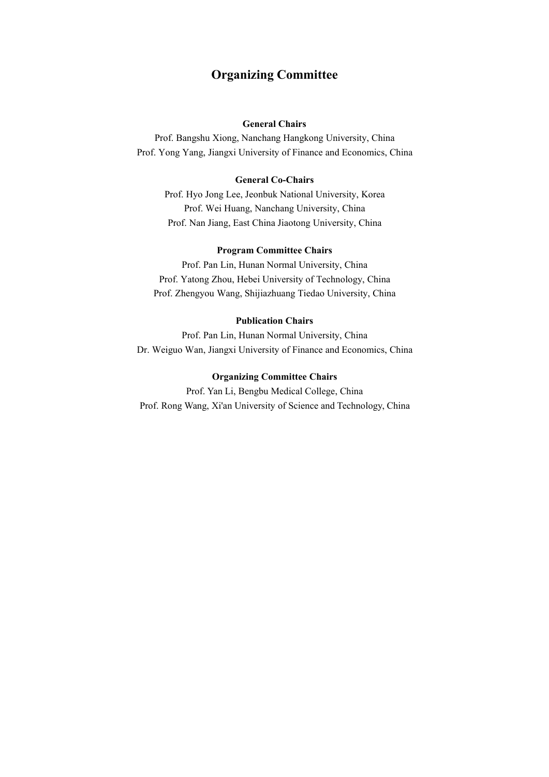### **Organizing Committee**

#### **General Chairs**

Prof. Bangshu Xiong, Nanchang Hangkong University, China Prof. Yong Yang, Jiangxi University of Finance and Economics, China

#### **General Co-Chairs**

Prof. Hyo Jong Lee, Jeonbuk National University, Korea Prof. Wei Huang, Nanchang University, China Prof. Nan Jiang, East China Jiaotong University, China

#### **Program Committee Chairs**

Prof. Pan Lin, Hunan Normal University, China Prof. Yatong Zhou, Hebei University of Technology, China Prof. Zhengyou Wang, Shijiazhuang Tiedao University, China

#### **Publication Chairs**

Prof. Pan Lin, Hunan Normal University, China Dr. Weiguo Wan, Jiangxi University of Finance and Economics, China

#### **Organizing Committee Chairs**

Prof. Yan Li, Bengbu Medical College, China Prof. Rong Wang, Xi'an University of Science and Technology, China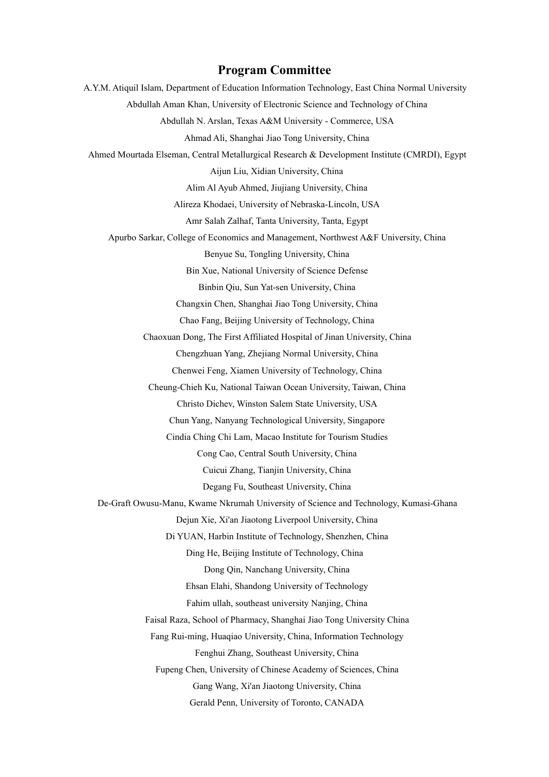#### **Program Committee**

A.Y.M. Atiquil Islam, Department of Education Information Technology, East China Normal University Abdullah Aman Khan, University of Electronic Science and Technology of China Abdullah N. Arslan, Texas A&M University - Commerce, USA Ahmad Ali, Shanghai Jiao Tong University,China Ahmed Mourtada Elseman, Central Metallurgical Research & Development Institute (CMRDI), Egypt Aijun Liu, Xidian University, China Alim Al Ayub Ahmed, Jiujiang University,China Alireza Khodaei, University of Nebraska-Lincoln, USA Amr Salah Zalhaf, Tanta University, Tanta, Egypt Apurbo Sarkar, College of Economics and Management, Northwest A&F University, China Benyue Su, Tongling University, China Bin Xue, National University of Science Defense Binbin Qiu, Sun Yat-sen University,China Changxin Chen, Shanghai Jiao Tong University, China Chao Fang, Beijing University of Technology, China Chaoxuan Dong, The First Affiliated Hospital of Jinan University, China Chengzhuan Yang, Zhejiang Normal University, China Chenwei Feng, Xiamen University of Technology, China Cheung-Chieh Ku, National Taiwan Ocean University, Taiwan, China Christo Dichev, Winston Salem State University, USA Chun Yang, Nanyang Technological University, Singapore Cindia Ching Chi Lam, Macao Institute for Tourism Studies Cong Cao, Central South University, China Cuicui Zhang, Tianjin University,China Degang Fu, Southeast University, China De-Graft Owusu-Manu, Kwame Nkrumah University of Science and Technology, Kumasi-Ghana Dejun Xie, Xi'an Jiaotong Liverpool University, China Di YUAN, Harbin Institute of Technology, Shenzhen, China Ding He, Beijing Institute of Technology, China Dong Qin, Nanchang University, China Ehsan Elahi, Shandong University of Technology Fahim ullah, southeast university Nanjing, China Faisal Raza, School of Pharmacy, Shanghai Jiao Tong University China Fang Rui-ming, Huaqiao University,China, Information Technology Fenghui Zhang, Southeast University, China Fupeng Chen, University of Chinese Academy of Sciences, China Gang Wang, Xi'an Jiaotong University,China Gerald Penn, University of Toronto, CANADA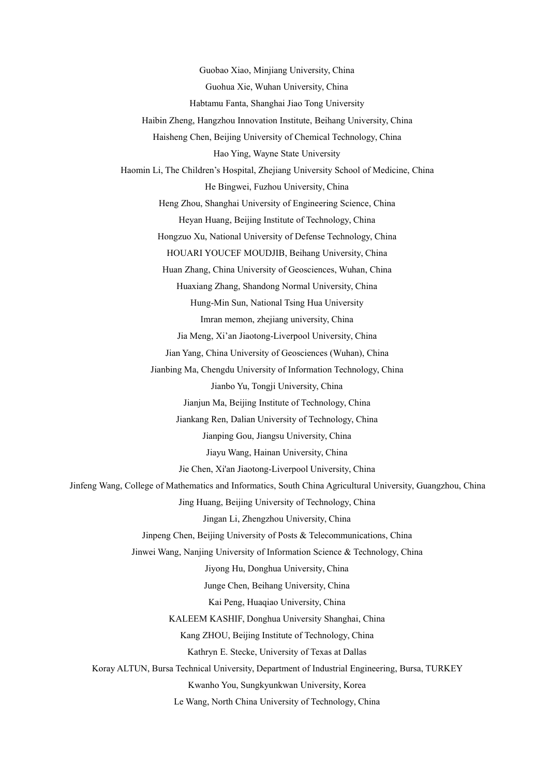Guobao Xiao, Minjiang University,China Guohua Xie, Wuhan University,China Habtamu Fanta, Shanghai Jiao Tong University Haibin Zheng, Hangzhou Innovation Institute, Beihang University,China Haisheng Chen, Beijing University of Chemical Technology, China Hao Ying, Wayne State University Haomin Li, The Children's Hospital, Zhejiang University School of Medicine, China He Bingwei, Fuzhou University, China Heng Zhou, Shanghai University of Engineering Science, China Heyan Huang, Beijing Institute of Technology, China Hongzuo Xu, National University of Defense Technology, China HOUARI YOUCEF MOUDJIB, Beihang University, China Huan Zhang, China University of Geosciences, Wuhan, China Huaxiang Zhang, Shandong Normal University, China Hung-Min Sun, National Tsing Hua University Imran memon, zhejiang university, China Jia Meng, Xi'an Jiaotong-Liverpool University, China Jian Yang, China University of Geosciences (Wuhan), China Jianbing Ma, Chengdu University of Information Technology, China Jianbo Yu, Tongji University, China Jianjun Ma, Beijing Institute of Technology, China Jiankang Ren, Dalian University of Technology, China Jianping Gou, Jiangsu University, China Jiayu Wang, Hainan University, China Jie Chen, Xi'an Jiaotong-Liverpool University, China Jinfeng Wang, College of Mathematics and Informatics, South China Agricultural University, Guangzhou, China Jing Huang, Beijing University of Technology, China Jingan Li, Zhengzhou University,China Jinpeng Chen, Beijing University of Posts & Telecommunications, China Jinwei Wang, Nanjing University of Information Science & Technology, China Jiyong Hu, Donghua University, China Junge Chen, Beihang University, China Kai Peng, Huaqiao University,China KALEEM KASHIF, Donghua University Shanghai, China Kang ZHOU, Beijing Institute of Technology, China Kathryn E. Stecke, University of Texas at Dallas Koray ALTUN, Bursa Technical University, Department of Industrial Engineering, Bursa, TURKEY Kwanho You, Sungkyunkwan University, Korea Le Wang, North China University of Technology, China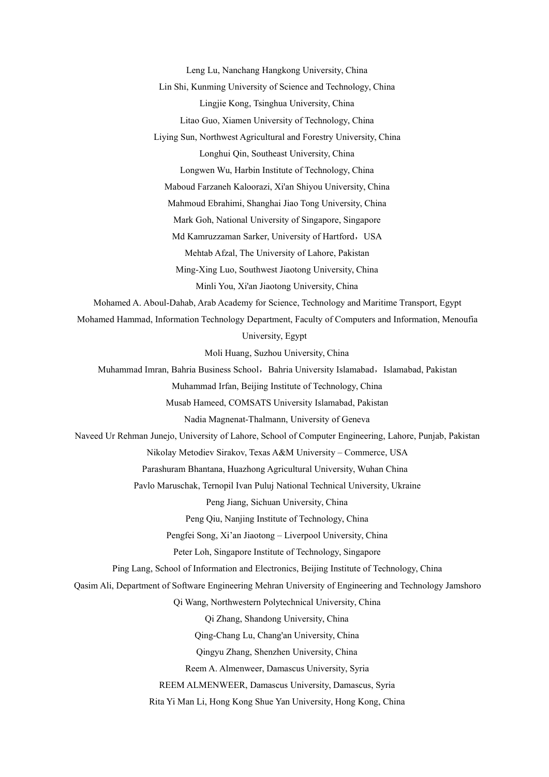Leng Lu, Nanchang Hangkong University,China

Lin Shi, Kunming University of Science and Technology, China

Lingjie Kong, Tsinghua University, China

Litao Guo, Xiamen University of Technology, China

Liying Sun, Northwest Agricultural and Forestry University,China

Longhui Qin, Southeast University, China

Longwen Wu, Harbin Institute of Technology, China

Maboud Farzaneh Kaloorazi, Xi'an Shiyou University,China

Mahmoud Ebrahimi, Shanghai Jiao Tong University, China

Mark Goh, National University of Singapore, Singapore

Md Kamruzzaman Sarker, University of Hartford, USA

Mehtab Afzal, The University of Lahore, Pakistan

Ming-Xing Luo, Southwest Jiaotong University, China

Minli You, Xi'an Jiaotong University,China

Mohamed A. Aboul-Dahab, Arab Academy for Science, Technology and Maritime Transport, Egypt

Mohamed Hammad, Information Technology Department, Faculty of Computers and Information, Menoufia

University, Egypt

Moli Huang, Suzhou University,China

Muhammad Imran, Bahria Business School, Bahria University Islamabad, Islamabad, Pakistan

Muhammad Irfan, Beijing Institute of Technology, China

Musab Hameed, COMSATS University Islamabad, Pakistan

Nadia Magnenat-Thalmann, University of Geneva

Naveed Ur Rehman Junejo, University of Lahore, School of Computer Engineering, Lahore, Punjab, Pakistan

Nikolay Metodiev Sirakov, Texas A&M University – Commerce, USA

Parashuram Bhantana, Huazhong Agricultural University, Wuhan China

Pavlo Maruschak, Ternopil Ivan Puluj National Technical University, Ukraine

Peng Jiang, Sichuan University, China

Peng Qiu, Nanjing Institute of Technology, China

Pengfei Song, Xi'an Jiaotong – Liverpool University, China

Peter Loh, Singapore Institute of Technology, Singapore

Ping Lang, School of Information and Electronics, Beijing Institute of Technology, China

Qasim Ali, Department of Software Engineering Mehran University of Engineering and Technology Jamshoro

Qi Wang, Northwestern Polytechnical University, China

Qi Zhang, Shandong University, China

Qing-Chang Lu, Chang'an University,China

Qingyu Zhang, Shenzhen University,China

Reem A. Almenweer, Damascus University, Syria

REEM ALMENWEER, Damascus University, Damascus, Syria

Rita Yi Man Li, Hong Kong Shue Yan University, Hong Kong, China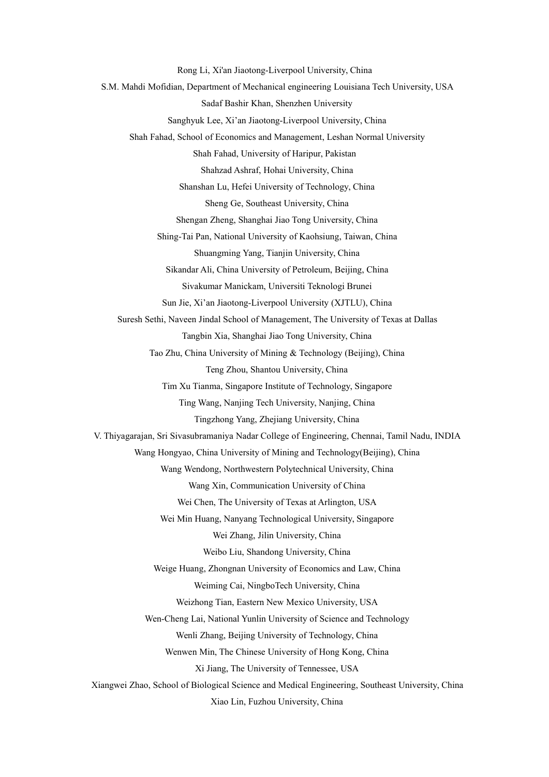Rong Li, Xi'an Jiaotong-Liverpool University, China S.M. Mahdi Mofidian, Department of Mechanical engineering Louisiana Tech University, USA Sadaf Bashir Khan, Shenzhen University Sanghyuk Lee, Xi'an Jiaotong-Liverpool University, China Shah Fahad, School of Economics and Management, Leshan Normal University Shah Fahad, University of Haripur, Pakistan Shahzad Ashraf, Hohai University, China Shanshan Lu, Hefei University of Technology, China Sheng Ge, Southeast University, China Shengan Zheng, Shanghai Jiao Tong University, China Shing-Tai Pan, National University of Kaohsiung, Taiwan, China Shuangming Yang, Tianjin University, China Sikandar Ali, China University of Petroleum, Beijing, China Sivakumar Manickam, Universiti Teknologi Brunei Sun Jie, Xi'an Jiaotong-Liverpool University (XJTLU), China Suresh Sethi, Naveen Jindal School of Management, The University of Texas at Dallas Tangbin Xia, Shanghai Jiao Tong University, China Tao Zhu, China University of Mining & Technology (Beijing), China Teng Zhou, Shantou University, China Tim Xu Tianma, Singapore Institute of Technology, Singapore Ting Wang, Nanjing Tech University, Nanjing, China Tingzhong Yang, Zhejiang University,China V. Thiyagarajan, Sri Sivasubramaniya Nadar College of Engineering, Chennai, Tamil Nadu, INDIA Wang Hongyao, China University of Mining and Technology(Beijing), China Wang Wendong, Northwestern Polytechnical University, China Wang Xin, Communication University of China Wei Chen, The University of Texas at Arlington, USA Wei Min Huang, Nanyang Technological University, Singapore Wei Zhang, Jilin University,China Weibo Liu, Shandong University, China Weige Huang, Zhongnan University of Economics and Law, China Weiming Cai, NingboTech University, China Weizhong Tian, Eastern New Mexico University, USA Wen-Cheng Lai, National Yunlin University of Science and Technology Wenli Zhang, Beijing University of Technology, China Wenwen Min, The Chinese University of Hong Kong, China Xi Jiang, The University of Tennessee, USA Xiangwei Zhao, School of Biological Science and Medical Engineering, Southeast University, China Xiao Lin, Fuzhou University, China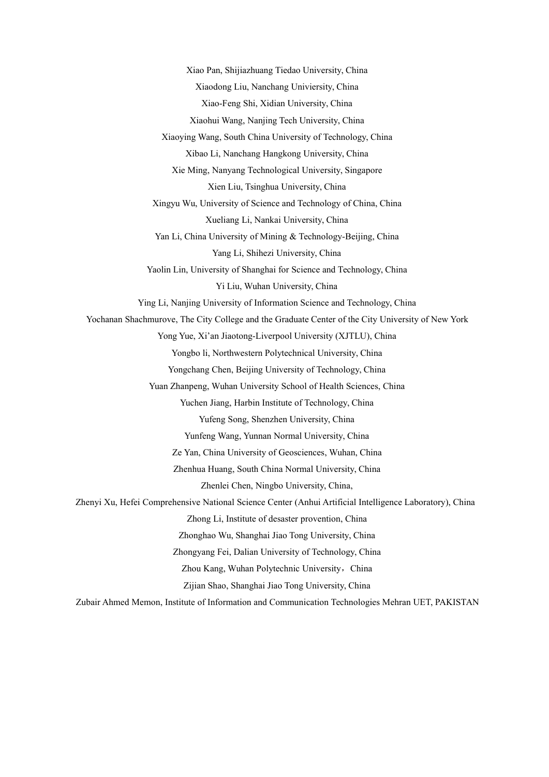Xiao Pan, Shijiazhuang Tiedao University,China Xiaodong Liu, Nanchang Univiersity, China Xiao-Feng Shi, Xidian University, China Xiaohui Wang, Nanjing Tech University, China Xiaoying Wang, South China University of Technology, China Xibao Li, Nanchang Hangkong University,China Xie Ming, Nanyang Technological University, Singapore Xien Liu, Tsinghua University, China Xingyu Wu, University of Science and Technology of China, China Xueliang Li, Nankai University, China Yan Li, China University of Mining & Technology-Beijing, China Yang Li, Shihezi University, China Yaolin Lin, University of Shanghai for Science and Technology, China Yi Liu, Wuhan University, China Ying Li, Nanjing University of Information Science and Technology, China Yochanan Shachmurove, The City College and the Graduate Center of the City University of New York Yong Yue, Xi'an Jiaotong-Liverpool University (XJTLU), China Yongbo li, Northwestern Polytechnical University, China Yongchang Chen, Beijing University of Technology, China Yuan Zhanpeng, Wuhan University School of Health Sciences, China Yuchen Jiang, Harbin Institute of Technology, China Yufeng Song, Shenzhen University, China Yunfeng Wang, Yunnan Normal University, China Ze Yan, China University of Geosciences, Wuhan, China Zhenhua Huang, South China Normal University, China Zhenlei Chen, Ningbo University, China, Zhenyi Xu, Hefei Comprehensive National Science Center (Anhui Artificial Intelligence Laboratory), China Zhong Li, Institute of desaster provention, China Zhonghao Wu, Shanghai Jiao Tong University, China Zhongyang Fei, Dalian University of Technology, China Zhou Kang, Wuhan Polytechnic University, China Zijian Shao, Shanghai Jiao Tong University,China Zubair Ahmed Memon, Institute of Information and Communication Technologies Mehran UET, PAKISTAN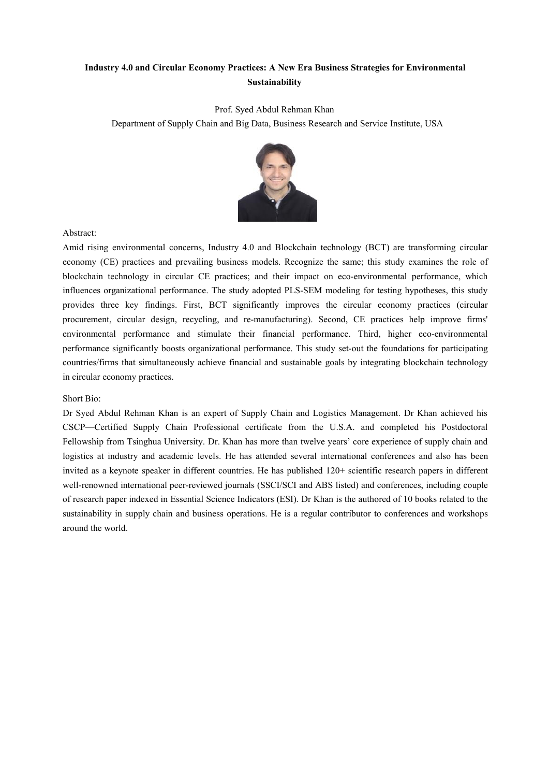### **Industry 4.0 and Circular Economy Practices: A New Era Business Strategies for Environmental Sustainability**

Prof. Syed Abdul Rehman Khan

Department of Supply Chain and Big Data, Business Research and Service Institute, USA



Abstract:

Amid rising environmental concerns, Industry 4.0 and Blockchain technology (BCT) are transforming circular economy (CE) practices and prevailing business models. Recognize the same; this study examines the role of blockchain technology in circular CE practices; and their impact on eco-environmental performance, which influences organizational performance. The study adopted PLS-SEM modeling for testing hypotheses, this study provides three key findings. First, BCT significantly improves the circular economy practices (circular procurement, circular design, recycling, and re-manufacturing). Second, CE practiceshelp improve firms' environmental performance and stimulate their financial performance. Third, higher eco-environmental performance significantly boosts organizational performance. This study set-out the foundations for participating countries/firms that simultaneously achieve financial and sustainable goals by integrating blockchain technology in circular economy practices.

#### Short Bio:

Dr Syed Abdul Rehman Khan is an expert of Supply Chain and Logistics Management. Dr Khan achieved his CSCP—Certified Supply Chain Professional certificate from the U.S.A. and completed his Postdoctoral Fellowship from Tsinghua University. Dr. Khan has more than twelve years' core experience of supply chain and logistics at industry and academic levels. He has attended several international conferences and also has been invited as a keynote speaker in different countries. He has published 120+ scientific research papers in different well-renowned international peer-reviewed journals (SSCI/SCI and ABS listed) and conferences, including couple of research paper indexed in Essential Science Indicators (ESI).Dr Khan is the authored of 10 books related to the sustainability in supply chain and business operations. He is a regular contributor to conferences and workshops around the world.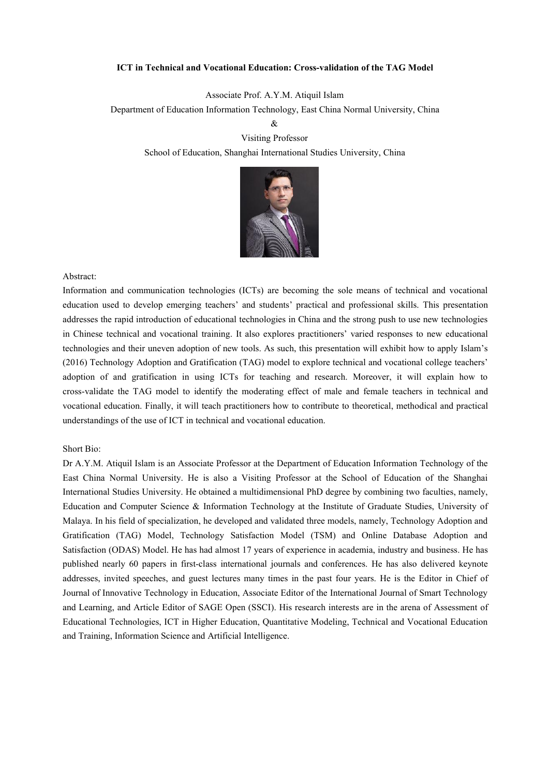#### **ICT in Technical and Vocational Education: Cross-validation of the TAG Model**

Associate Prof. A.Y.M. Atiquil Islam

Department of Education Information Technology, East China Normal University, China

 $\&$ 

Visiting Professor School of Education, Shanghai International Studies University, China



#### Abstract:

Information and communication technologies (ICTs) are becoming the sole means of technical and vocational education used to develop emerging teachers' and students' practical and professional skills. This presentation addresses the rapid introduction of educational technologies in China and the strong push to use new technologies in Chinese technical and vocational training. It also explores practitioners' varied responses to new educational technologies and their uneven adoption of new tools. As such, this presentation will exhibit how to apply Islam's (2016) Technology Adoption and Gratification (TAG) model to explore technical and vocational college teachers' adoption of and gratification in using ICTs for teaching and research. Moreover, it will explain how to cross-validate the TAG model to identify the moderating effect of male and female teachers in technical and vocational education. Finally, it will teach practitioners how to contribute to theoretical, methodical and practical understandings of the use of ICT in technical and vocational education.

#### Short Bio:

Dr A.Y.M. Atiquil Islam is an Associate Professor at the Department of Education Information Technology of the East China Normal University. He is also a Visiting Professor at the School of Education of the Shanghai International Studies University. He obtained a multidimensional PhD degree bycombining two faculties, namely, Education and Computer Science & Information Technology at the Institute of Graduate Studies, University of Malaya. In his field of specialization, he developed and validated three models, namely, Technology Adoption and Gratification (TAG) Model, Technology Satisfaction Model (TSM) and Online Database Adoption and Satisfaction (ODAS) Model. He has had almost 17 years of experience in academia, industry and business. He has published nearly 60 papers in first-class international journals and conferences. He has also delivered keynote addresses, invited speeches, and guest lectures many times in the past four years. He isthe Editor in Chief of Journal of Innovative Technology in Education, Associate Editor of the International Journal of Smart Technology and Learning, and Article Editor of SAGE Open (SSCI). His research interests are in the arena of Assessment of Educational Technologies, ICT in Higher Education, Quantitative Modeling, Technical and Vocational Education and Training, Information Science and Artificial Intelligence.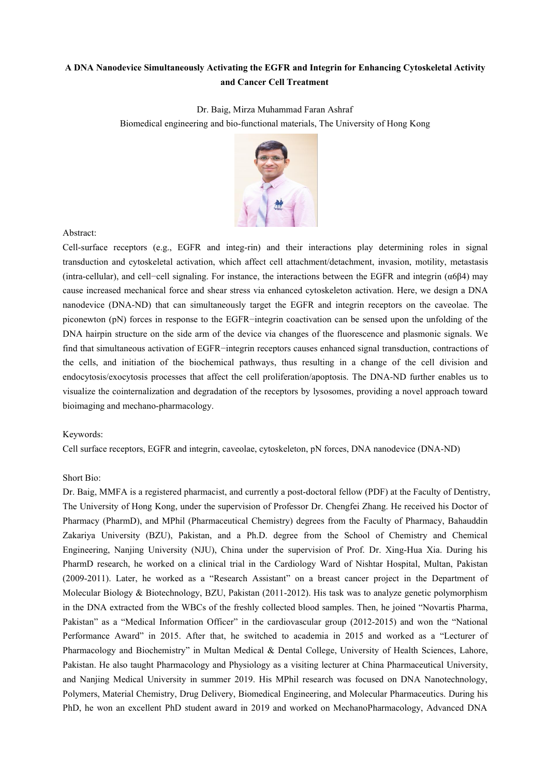### **A DNA Nanodevice Simultaneously Activating the EGFR and Integrin for Enhancing Cytoskeletal Activity and Cancer Cell Treatment**

Dr. Baig, Mirza Muhammad Faran Ashraf

Biomedical engineering and bio-functional materials, The University of Hong Kong



Abstract:

Cell-surface receptors (e.g., EGFR and integ-rin) and their interactions play determining roles in signal transduction and cytoskeletal activation, which affect cell attachment/detachment, invasion, motility, metastasis (intra-cellular), and cell−cell signaling. For instance, the interactions between the EGFR and integrin (α6β4) may cause increased mechanical force and shear stress via enhanced cytoskeleton activation. Here, we design a DNA nanodevice (DNA-ND) that can simultaneously target the EGFR and integrin receptors on the caveolae. The piconewton (pN) forces in response to the EGFR−integrin coactivation can be sensed upon the unfolding of the DNA hairpin structure on the side arm of the device via changes of the fluorescence and plasmonic signals. We find that simultaneous activation of EGFR−integrin receptors causes enhanced signal transduction, contractions of the cells, and initiation of the biochemical pathways, thus resulting in a change of the cell division and endocytosis/exocytosis processes that affect the cell proliferation/apoptosis. The DNA-ND further enables us to visualize the cointernalization and degradation of the receptors by lysosomes,providing a novel approach toward bioimaging and mechano-pharmacology.

#### Keywords:

Cell surface receptors, EGFR and integrin, caveolae, cytoskeleton, pN forces, DNA nanodevice (DNA-ND)

#### Short Bio:

Dr. Baig, MMFA is a registered pharmacist, and currently a post-doctoral fellow (PDF) at the Faculty of Dentistry, The University of Hong Kong, under the supervision of Professor Dr. Chengfei Zhang. He received his Doctor of Pharmacy (PharmD), and MPhil (Pharmaceutical Chemistry) degrees from the Faculty of Pharmacy, Bahauddin Zakariya University (BZU), Pakistan, and a Ph.D. degree from the School of Chemistry and Chemical Engineering, Nanjing University (NJU), China under the supervision of Prof. Dr. Xing-Hua Xia. During his PharmD research, he worked on a clinical trial in the Cardiology Ward of Nishtar Hospital, Multan, Pakistan (2009-2011). Later, he worked as a "Research Assistant" on a breast cancer project in the Department of Molecular Biology & Biotechnology, BZU, Pakistan (2011-2012). His task was to analyze genetic polymorphism in the DNA extracted from the WBCs of the freshly collected blood samples. Then, he joined "Novartis Pharma, Pakistan" as a "Medical Information Officer" in the cardiovascular group (2012-2015) and won the "National Performance Award" in 2015. After that, he switched to academia in 2015 and worked as a "Lecturer of Pharmacology and Biochemistry" in Multan Medical & Dental College, University of Health Sciences, Lahore, Pakistan. He also taught Pharmacology and Physiology as a visiting lecturer atChina Pharmaceutical University, and Nanjing Medical University in summer 2019. His MPhil research was focused on DNA Nanotechnology, Polymers, Material Chemistry, Drug Delivery, Biomedical Engineering, and Molecular Pharmaceutics. During his PhD, he won an excellent PhD student award in 2019 and worked on MechanoPharmacology, Advanced DNA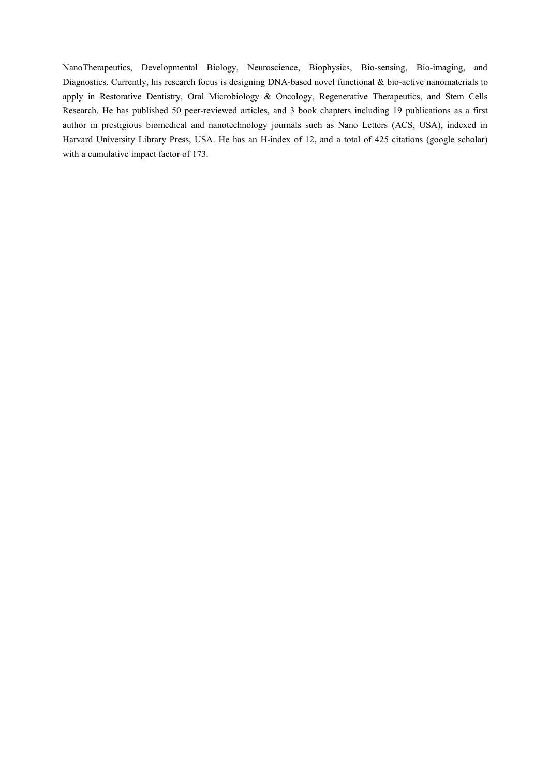NanoTherapeutics, Developmental Biology, Neuroscience, Biophysics, Bio-sensing, Bio-imaging, and Diagnostics. Currently, his research focus is designing DNA-based novel functional & bio-active nanomaterials to apply in Restorative Dentistry, Oral Microbiology & Oncology, Regenerative Therapeutics, and Stem Cells Research. He has published 50 peer-reviewed articles, and 3 book chapters including 19 publications as a first author in prestigious biomedical and nanotechnology journals such as Nano Letters (ACS, USA), indexed in Harvard University Library Press, USA. He has an H-index of 12, and a total of 425 citations (google scholar) with a cumulative impact factor of 173.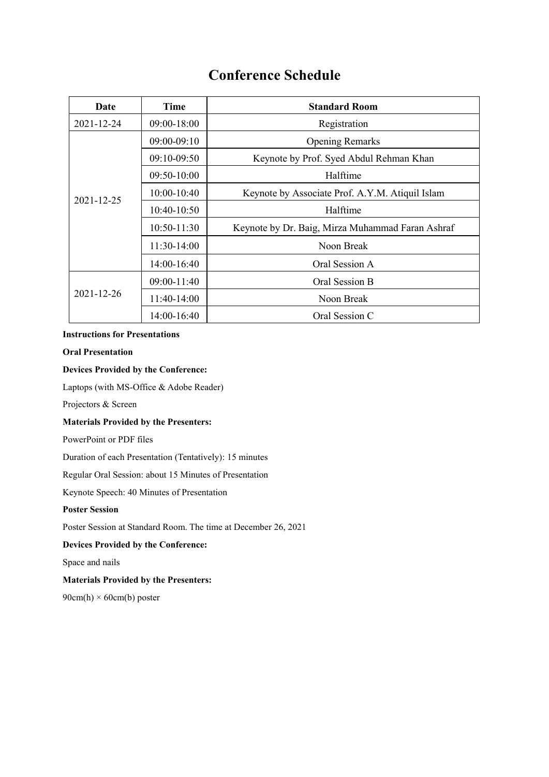# **Conference Schedule**

| Date             | Time            | <b>Standard Room</b>                             |
|------------------|-----------------|--------------------------------------------------|
| 2021-12-24       | $09:00-18:00$   | Registration                                     |
| 2021-12-25       | 09:00-09:10     | <b>Opening Remarks</b>                           |
|                  | $09:10-09:50$   | Keynote by Prof. Syed Abdul Rehman Khan          |
|                  | 09:50-10:00     | Halftime                                         |
|                  | $10:00-10:40$   | Keynote by Associate Prof. A.Y.M. Atiquil Islam  |
|                  | $10:40-10:50$   | Halftime                                         |
|                  | $10:50-11:30$   | Keynote by Dr. Baig, Mirza Muhammad Faran Ashraf |
|                  | $11:30-14:00$   | Noon Break                                       |
|                  | $14:00-16:40$   | Oral Session A                                   |
|                  | $09:00 - 11:40$ | Oral Session B                                   |
| $2021 - 12 - 26$ | $11:40-14:00$   | Noon Break                                       |
|                  | $14:00-16:40$   | Oral Session C                                   |

#### **Instructions for Presentations**

#### **Oral Presentation**

#### **Devices Provided by the Conference:**

Laptops (with MS-Office & Adobe Reader)

Projectors & Screen

#### **Materials Provided by the Presenters:**

PowerPoint or PDF files

Duration of each Presentation (Tentatively): 15 minutes

Regular Oral Session: about 15 Minutes of Presentation

Keynote Speech: 40 Minutes of Presentation

#### **Poster Session**

Poster Session at Standard Room. The time at December 26, 2021

#### **Devices Provided by the Conference:**

Space and nails

#### **Materials Provided by the Presenters:**

 $90cm(h) \times 60cm(b)$  poster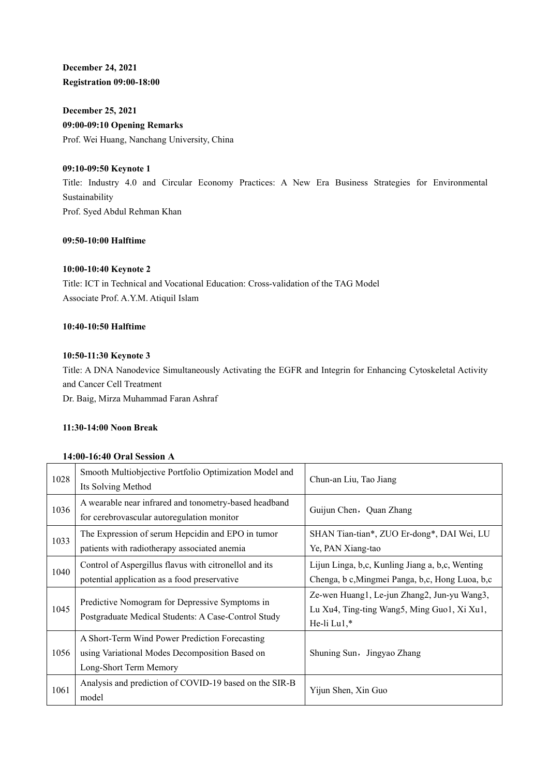**December 24, 2021 Registration 09:00-18:00**

**December 25, 2021 09:00-09:10 Opening Remarks** Prof. Wei Huang, Nanchang University, China

#### **09:10-09:50 Keynote 1**

Title: Industry 4.0 and Circular Economy Practices: A New Era Business Strategies for Environmental Sustainability Prof. Syed Abdul Rehman Khan

#### **09:50-10:00 Halftime**

#### **10:00-10:40 Keynote 2**

Title: ICT in Technical and Vocational Education: Cross-validation of the TAG Model Associate Prof. A.Y.M. Atiquil Islam

#### **10:40-10:50 Halftime**

#### **10:50-11:30 Keynote 3**

Title: A DNA Nanodevice Simultaneously Activating the EGFR and Integrin for Enhancing Cytoskeletal Activity and Cancer Cell Treatment Dr. Baig, Mirza Muhammad Faran Ashraf

#### **11:30-14:00 Noon Break**

#### **14:00-16:40 Oral Session A**

| 1028 | Smooth Multiobjective Portfolio Optimization Model and<br>Its Solving Method                                               | Chun-an Liu, Tao Jiang                                                                                    |
|------|----------------------------------------------------------------------------------------------------------------------------|-----------------------------------------------------------------------------------------------------------|
| 1036 | A wearable near infrared and tonometry-based headband<br>for cerebrovascular autoregulation monitor                        | Guijun Chen, Quan Zhang                                                                                   |
| 1033 | The Expression of serum Hepcidin and EPO in tumor<br>patients with radiotherapy associated anemia                          | SHAN Tian-tian*, ZUO Er-dong*, DAI Wei, LU<br>Ye, PAN Xiang-tao                                           |
| 1040 | Control of Aspergillus flavus with citronellol and its<br>potential application as a food preservative                     | Lijun Linga, b,c, Kunling Jiang a, b,c, Wenting<br>Chenga, b c, Mingmei Panga, b, c, Hong Luoa, b, c      |
| 1045 | Predictive Nomogram for Depressive Symptoms in<br>Postgraduate Medical Students: A Case-Control Study                      | Ze-wen Huang1, Le-jun Zhang2, Jun-yu Wang3,<br>Lu Xu4, Ting-ting Wang5, Ming Guo1, Xi Xu1,<br>He-li Lu1,* |
| 1056 | A Short-Term Wind Power Prediction Forecasting<br>using Variational Modes Decomposition Based on<br>Long-Short Term Memory | Shuning Sun, Jingyao Zhang                                                                                |
| 1061 | Analysis and prediction of COVID-19 based on the SIR-B<br>model                                                            | Yijun Shen, Xin Guo                                                                                       |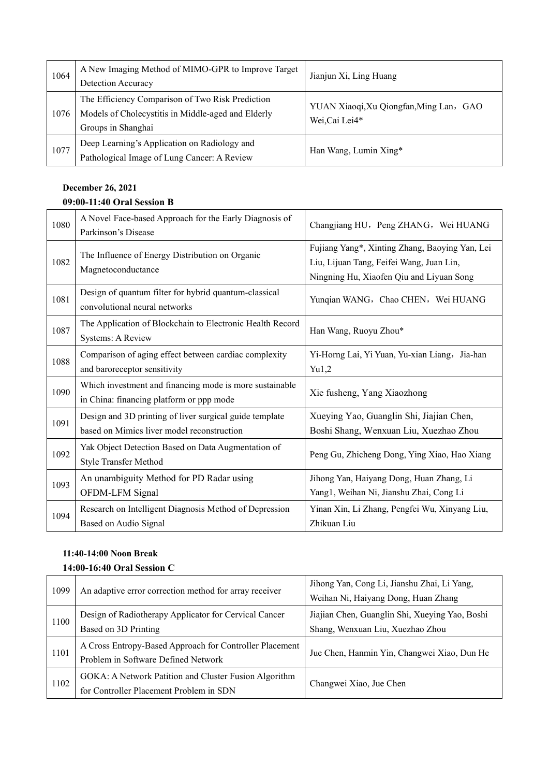| 1064 | A New Imaging Method of MIMO-GPR to Improve Target | Jianjun Xi, Ling Huang                  |  |
|------|----------------------------------------------------|-----------------------------------------|--|
|      | Detection Accuracy                                 |                                         |  |
| 1076 | The Efficiency Comparison of Two Risk Prediction   | YUAN Xiaoqi, Xu Qiongfan, Ming Lan, GAO |  |
|      | Models of Cholecystitis in Middle-aged and Elderly | Wei, Cai Lei4*                          |  |
|      | Groups in Shanghai                                 |                                         |  |
| 1077 | Deep Learning's Application on Radiology and       |                                         |  |
|      | Pathological Image of Lung Cancer: A Review        | Han Wang, Lumin Xing*                   |  |

### **December 26, 2021 09:00-11:40 Oral Session B**

| 1080 | A Novel Face-based Approach for the Early Diagnosis of<br>Parkinson's Disease                         | Changjiang HU, Peng ZHANG, Wei HUANG                                                                                                   |
|------|-------------------------------------------------------------------------------------------------------|----------------------------------------------------------------------------------------------------------------------------------------|
| 1082 | The Influence of Energy Distribution on Organic<br>Magnetoconductance                                 | Fujiang Yang*, Xinting Zhang, Baoying Yan, Lei<br>Liu, Lijuan Tang, Feifei Wang, Juan Lin,<br>Ningning Hu, Xiaofen Qiu and Liyuan Song |
| 1081 | Design of quantum filter for hybrid quantum-classical<br>convolutional neural networks                | Yunqian WANG, Chao CHEN, Wei HUANG                                                                                                     |
| 1087 | The Application of Blockchain to Electronic Health Record<br><b>Systems: A Review</b>                 | Han Wang, Ruoyu Zhou*                                                                                                                  |
| 1088 | Comparison of aging effect between cardiac complexity<br>and baroreceptor sensitivity                 | Yi-Horng Lai, Yi Yuan, Yu-xian Liang, Jia-han<br>Yu1,2                                                                                 |
| 1090 | Which investment and financing mode is more sustainable<br>in China: financing platform or ppp mode   | Xie fusheng, Yang Xiaozhong                                                                                                            |
| 1091 | Design and 3D printing of liver surgical guide template<br>based on Mimics liver model reconstruction | Xueying Yao, Guanglin Shi, Jiajian Chen,<br>Boshi Shang, Wenxuan Liu, Xuezhao Zhou                                                     |
| 1092 | Yak Object Detection Based on Data Augmentation of<br><b>Style Transfer Method</b>                    | Peng Gu, Zhicheng Dong, Ying Xiao, Hao Xiang                                                                                           |
| 1093 | An unambiguity Method for PD Radar using<br>OFDM-LFM Signal                                           | Jihong Yan, Haiyang Dong, Huan Zhang, Li<br>Yang1, Weihan Ni, Jianshu Zhai, Cong Li                                                    |
| 1094 | Research on Intelligent Diagnosis Method of Depression<br>Based on Audio Signal                       | Yinan Xin, Li Zhang, Pengfei Wu, Xinyang Liu,<br>Zhikuan Liu                                                                           |

### **11:40-14:00 Noon Break**

### **14:00-16:40 Oral Session C**

| 1099 | An adaptive error correction method for array receiver                                           | Jihong Yan, Cong Li, Jianshu Zhai, Li Yang,<br>Weihan Ni, Haiyang Dong, Huan Zhang |
|------|--------------------------------------------------------------------------------------------------|------------------------------------------------------------------------------------|
| 1100 | Design of Radiotherapy Applicator for Cervical Cancer                                            | Jiajian Chen, Guanglin Shi, Xueying Yao, Boshi                                     |
|      | Based on 3D Printing                                                                             | Shang, Wenxuan Liu, Xuezhao Zhou                                                   |
| 1101 | A Cross Entropy-Based Approach for Controller Placement<br>Problem in Software Defined Network   | Jue Chen, Hanmin Yin, Changwei Xiao, Dun He                                        |
| 1102 | GOKA: A Network Patition and Cluster Fusion Algorithm<br>for Controller Placement Problem in SDN | Changwei Xiao, Jue Chen                                                            |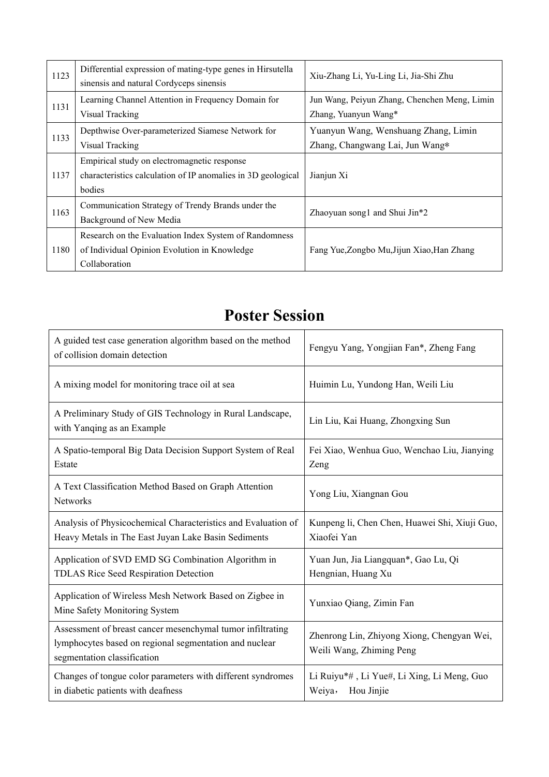| 1123 | Differential expression of mating-type genes in Hirsutella<br>sinensis and natural Cordyceps sinensis                  | Xiu-Zhang Li, Yu-Ling Li, Jia-Shi Zhu                                   |
|------|------------------------------------------------------------------------------------------------------------------------|-------------------------------------------------------------------------|
| 1131 | Learning Channel Attention in Frequency Domain for<br>Visual Tracking                                                  | Jun Wang, Peiyun Zhang, Chenchen Meng, Limin<br>Zhang, Yuanyun Wang*    |
| 1133 | Depthwise Over-parameterized Siamese Network for<br>Visual Tracking                                                    | Yuanyun Wang, Wenshuang Zhang, Limin<br>Zhang, Changwang Lai, Jun Wang* |
| 1137 | Empirical study on electromagnetic response<br>characteristics calculation of IP anomalies in 3D geological<br>bodies  | Jianjun Xi                                                              |
| 1163 | Communication Strategy of Trendy Brands under the<br>Background of New Media                                           | Zhaoyuan song1 and Shui Jin*2                                           |
| 1180 | Research on the Evaluation Index System of Randomness<br>of Individual Opinion Evolution in Knowledge<br>Collaboration | Fang Yue, Zongbo Mu, Jijun Xiao, Han Zhang                              |

# **Poster Session**

| A guided test case generation algorithm based on the method<br>of collision domain detection                                                        | Fengyu Yang, Yongjian Fan*, Zheng Fang                                 |
|-----------------------------------------------------------------------------------------------------------------------------------------------------|------------------------------------------------------------------------|
| A mixing model for monitoring trace oil at sea                                                                                                      | Huimin Lu, Yundong Han, Weili Liu                                      |
| A Preliminary Study of GIS Technology in Rural Landscape,<br>with Yanqing as an Example                                                             | Lin Liu, Kai Huang, Zhongxing Sun                                      |
| A Spatio-temporal Big Data Decision Support System of Real<br>Estate                                                                                | Fei Xiao, Wenhua Guo, Wenchao Liu, Jianying<br>Zeng                    |
| A Text Classification Method Based on Graph Attention<br><b>Networks</b>                                                                            | Yong Liu, Xiangnan Gou                                                 |
| Analysis of Physicochemical Characteristics and Evaluation of<br>Heavy Metals in The East Juyan Lake Basin Sediments                                | Kunpeng li, Chen Chen, Huawei Shi, Xiuji Guo,<br>Xiaofei Yan           |
| Application of SVD EMD SG Combination Algorithm in<br>TDLAS Rice Seed Respiration Detection                                                         | Yuan Jun, Jia Liangquan*, Gao Lu, Qi<br>Hengnian, Huang Xu             |
| Application of Wireless Mesh Network Based on Zigbee in<br>Mine Safety Monitoring System                                                            | Yunxiao Qiang, Zimin Fan                                               |
| Assessment of breast cancer mesenchymal tumor infiltrating<br>lymphocytes based on regional segmentation and nuclear<br>segmentation classification | Zhenrong Lin, Zhiyong Xiong, Chengyan Wei,<br>Weili Wang, Zhiming Peng |
| Changes of tongue color parameters with different syndromes<br>in diabetic patients with deafness                                                   | Li Ruiyu*#, Li Yue#, Li Xing, Li Meng, Guo<br>Weiya,<br>Hou Jinjie     |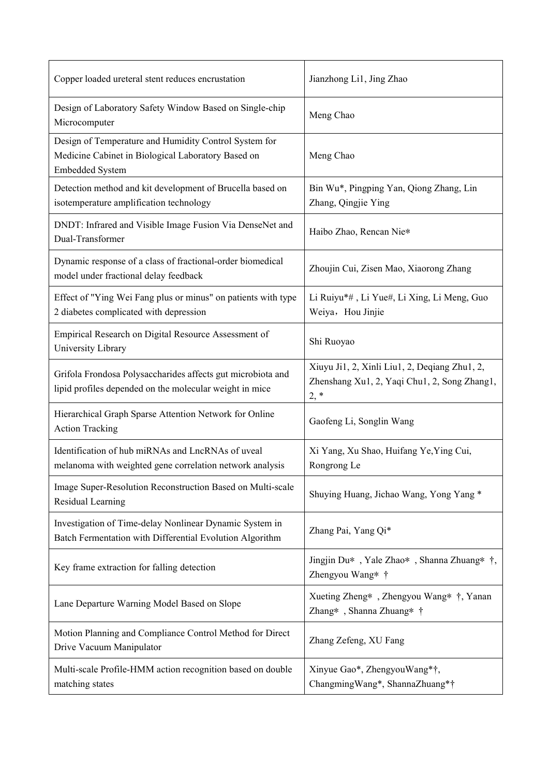| Copper loaded ureteral stent reduces encrustation                                                                                     | Jianzhong Li1, Jing Zhao                                                                                |
|---------------------------------------------------------------------------------------------------------------------------------------|---------------------------------------------------------------------------------------------------------|
| Design of Laboratory Safety Window Based on Single-chip<br>Microcomputer                                                              | Meng Chao                                                                                               |
| Design of Temperature and Humidity Control System for<br>Medicine Cabinet in Biological Laboratory Based on<br><b>Embedded System</b> | Meng Chao                                                                                               |
| Detection method and kit development of Brucella based on<br>isotemperature amplification technology                                  | Bin Wu*, Pingping Yan, Qiong Zhang, Lin<br>Zhang, Qingjie Ying                                          |
| DNDT: Infrared and Visible Image Fusion Via DenseNet and<br>Dual-Transformer                                                          | Haibo Zhao, Rencan Nie*                                                                                 |
| Dynamic response of a class of fractional-order biomedical<br>model under fractional delay feedback                                   | Zhoujin Cui, Zisen Mao, Xiaorong Zhang                                                                  |
| Effect of "Ying Wei Fang plus or minus" on patients with type<br>2 diabetes complicated with depression                               | Li Ruiyu*#, Li Yue#, Li Xing, Li Meng, Guo<br>Weiya, Hou Jinjie                                         |
| Empirical Research on Digital Resource Assessment of<br>University Library                                                            | Shi Ruoyao                                                                                              |
| Grifola Frondosa Polysaccharides affects gut microbiota and<br>lipid profiles depended on the molecular weight in mice                | Xiuyu Ji1, 2, Xinli Liu1, 2, Deqiang Zhu1, 2,<br>Zhenshang Xu1, 2, Yaqi Chu1, 2, Song Zhang1,<br>$2, *$ |
| Hierarchical Graph Sparse Attention Network for Online<br><b>Action Tracking</b>                                                      | Gaofeng Li, Songlin Wang                                                                                |
| Identification of hub miRNAs and LncRNAs of uveal<br>melanoma with weighted gene correlation network analysis                         | Xi Yang, Xu Shao, Huifang Ye, Ying Cui,<br>Rongrong Le                                                  |
| Image Super-Resolution Reconstruction Based on Multi-scale<br>Residual Learning                                                       | Shuying Huang, Jichao Wang, Yong Yang *                                                                 |
| Investigation of Time-delay Nonlinear Dynamic System in<br>Batch Fermentation with Differential Evolution Algorithm                   | Zhang Pai, Yang Qi*                                                                                     |
| Key frame extraction for falling detection                                                                                            | Jingjin Du*, Yale Zhao*, Shanna Zhuang* †,<br>Zhengyou Wang* †                                          |
| Lane Departure Warning Model Based on Slope                                                                                           | Xueting Zheng*, Zhengyou Wang* †, Yanan<br>Zhang*, Shanna Zhuang* †                                     |
| Motion Planning and Compliance Control Method for Direct<br>Drive Vacuum Manipulator                                                  | Zhang Zefeng, XU Fang                                                                                   |
| Multi-scale Profile-HMM action recognition based on double<br>matching states                                                         | Xinyue Gao*, ZhengyouWang*†,<br>ChangmingWang*, ShannaZhuang*†                                          |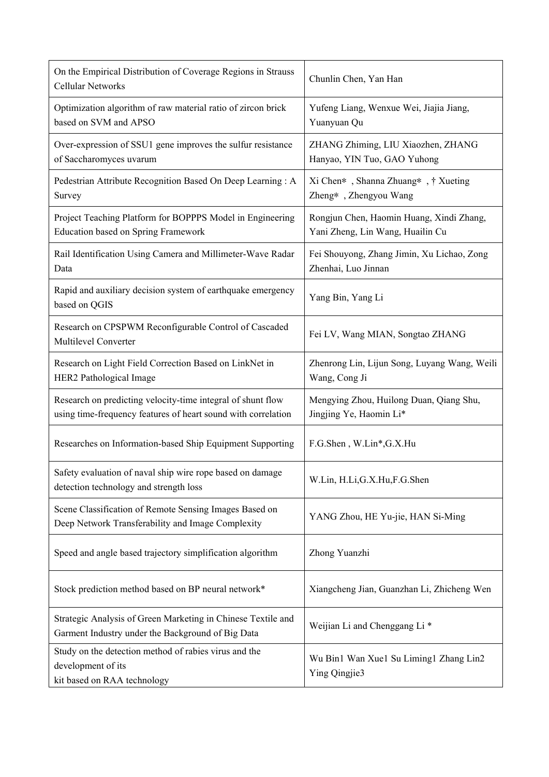| On the Empirical Distribution of Coverage Regions in Strauss<br>Cellular Networks                                            | Chunlin Chen, Yan Han                                                        |  |
|------------------------------------------------------------------------------------------------------------------------------|------------------------------------------------------------------------------|--|
| Optimization algorithm of raw material ratio of zircon brick<br>based on SVM and APSO                                        | Yufeng Liang, Wenxue Wei, Jiajia Jiang,<br>Yuanyuan Qu                       |  |
| Over-expression of SSU1 gene improves the sulfur resistance<br>of Saccharomyces uvarum                                       | ZHANG Zhiming, LIU Xiaozhen, ZHANG<br>Hanyao, YIN Tuo, GAO Yuhong            |  |
| Pedestrian Attribute Recognition Based On Deep Learning: A<br>Survey                                                         | Xi Chen*, Shanna Zhuang*, † Xueting<br>Zheng*, Zhengyou Wang                 |  |
| Project Teaching Platform for BOPPPS Model in Engineering<br><b>Education based on Spring Framework</b>                      | Rongjun Chen, Haomin Huang, Xindi Zhang,<br>Yani Zheng, Lin Wang, Huailin Cu |  |
| Rail Identification Using Camera and Millimeter-Wave Radar<br>Data                                                           | Fei Shouyong, Zhang Jimin, Xu Lichao, Zong<br>Zhenhai, Luo Jinnan            |  |
| Rapid and auxiliary decision system of earthquake emergency<br>based on QGIS                                                 | Yang Bin, Yang Li                                                            |  |
| Research on CPSPWM Reconfigurable Control of Cascaded<br><b>Multilevel Converter</b>                                         | Fei LV, Wang MIAN, Songtao ZHANG                                             |  |
| Research on Light Field Correction Based on LinkNet in<br>HER2 Pathological Image                                            | Zhenrong Lin, Lijun Song, Luyang Wang, Weili<br>Wang, Cong Ji                |  |
| Research on predicting velocity-time integral of shunt flow<br>using time-frequency features of heart sound with correlation | Mengying Zhou, Huilong Duan, Qiang Shu,<br>Jingjing Ye, Haomin Li*           |  |
| Researches on Information-based Ship Equipment Supporting                                                                    | F.G.Shen, W.Lin*, G.X.Hu                                                     |  |
| Safety evaluation of naval ship wire rope based on damage<br>detection technology and strength loss                          | W.Lin, H.Li, G.X. Hu, F.G. Shen                                              |  |
| Scene Classification of Remote Sensing Images Based on<br>Deep Network Transferability and Image Complexity                  | YANG Zhou, HE Yu-jie, HAN Si-Ming                                            |  |
| Speed and angle based trajectory simplification algorithm                                                                    | Zhong Yuanzhi                                                                |  |
| Stock prediction method based on BP neural network*                                                                          | Xiangcheng Jian, Guanzhan Li, Zhicheng Wen                                   |  |
| Strategic Analysis of Green Marketing in Chinese Textile and<br>Garment Industry under the Background of Big Data            | Weijian Li and Chenggang Li <sup>*</sup>                                     |  |
| Study on the detection method of rabies virus and the<br>development of its<br>kit based on RAA technology                   | Wu Bin1 Wan Xue1 Su Liming1 Zhang Lin2<br>Ying Qingjie3                      |  |